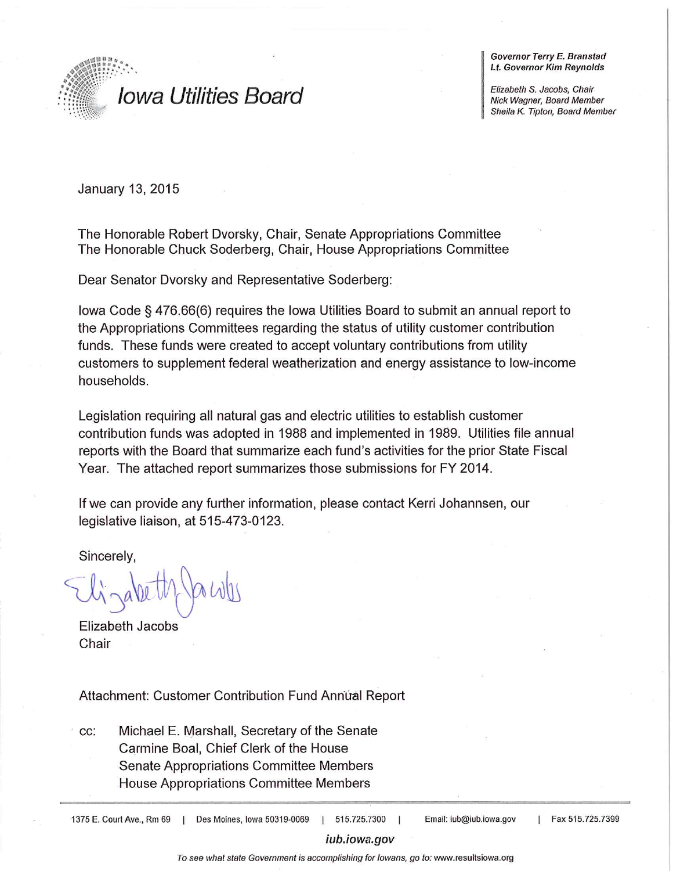

Governor Terry E. Branstad **Lt. Governor Kim Reynolds** 

Elizabeth S. Jacobs, Chair Nick Wagner, Board Member Sheila K. Tipton, Board Member

January 13, 2015

The Honorable Robert Dvorsky, Chair, Senate Appropriations Committee The Honorable Chuck Soderberg, Chair, House Appropriations Committee

Dear Senator Dvorsky and Representative Soderberg:

lowa Code § 476.66(6) requires the lowa Utilities Board to submit an annual report to the Appropriations Committees regarding the status of utility customer contribution funds. These funds were created to accept voluntary contributions from utility customers to supplement federal weatherization and energy assistance to low-income households.

Legislation requiring all natural gas and electric utilities to establish customer contribution funds was adopted in 1988 and implemented in 1989. Utilities file annual reports with the Board that summarize each fund's activities for the prior State Fiscal Year. The attached report summarizes those submissions for FY 2014.

If we can provide any further information, please contact Kerri Johannsen, our legislative liaison, at 515-473-0123.

Sincerely,

Elizabeth Jacobs Chair

Attachment: Customer Contribution Fund Annual Report

Michael E. Marshall, Secretary of the Senate CC: Carmine Boal, Chief Clerk of the House Senate Appropriations Committee Members House Appropriations Committee Members

1375 E. Court Ave., Rm 69 | Des Moines, Iowa 50319-0069 515.725.7300

Email: iub@iub.iowa.gov

Fax 515.725.7399

#### iub.iowa.gov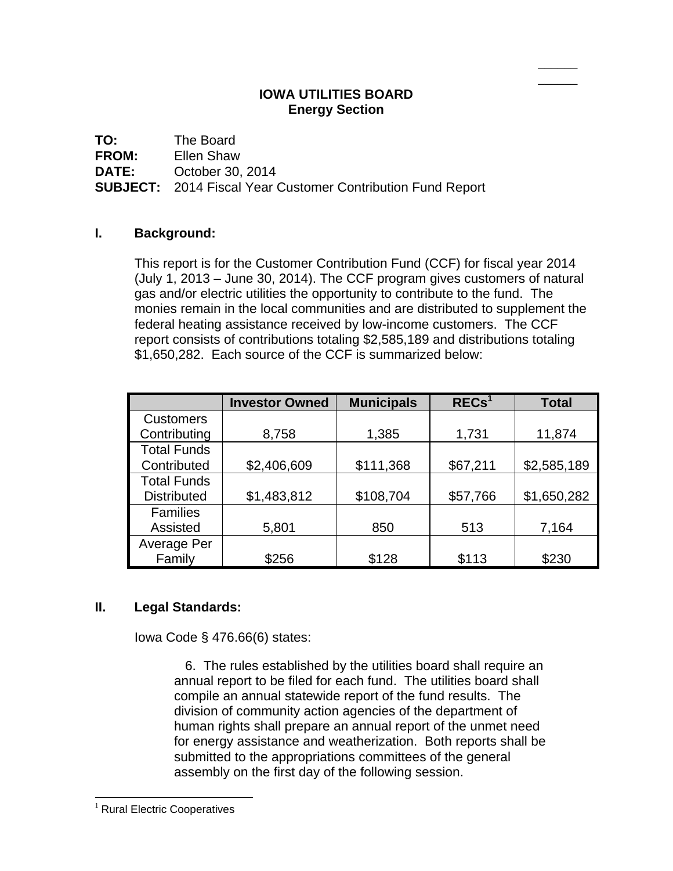# **IOWA UTILITIES BOARD Energy Section**

 $\overline{\phantom{a}}$  $\overline{\phantom{a}}$ 

**TO:** The Board **FROM:** Ellen Shaw

**DATE:** October 30, 2014

**SUBJECT:** 2014 Fiscal Year Customer Contribution Fund Report

# **I. Background:**

This report is for the Customer Contribution Fund (CCF) for fiscal year 2014 (July 1, 2013 – June 30, 2014). The CCF program gives customers of natural gas and/or electric utilities the opportunity to contribute to the fund. The monies remain in the local communities and are distributed to supplement the federal heating assistance received by low-income customers. The CCF report consists of contributions totaling \$2,585,189 and distributions totaling \$1,650,282. Each source of the CCF is summarized below:

|                    | <b>Investor Owned</b> | <b>Municipals</b> | RECs <sup>1</sup> | <b>Total</b> |
|--------------------|-----------------------|-------------------|-------------------|--------------|
| <b>Customers</b>   |                       |                   |                   |              |
| Contributing       | 8,758                 | 1,385             | 1,731             | 11,874       |
| <b>Total Funds</b> |                       |                   |                   |              |
| Contributed        | \$2,406,609           | \$111,368         | \$67,211          | \$2,585,189  |
| <b>Total Funds</b> |                       |                   |                   |              |
| <b>Distributed</b> | \$1,483,812           | \$108,704         | \$57,766          | \$1,650,282  |
| <b>Families</b>    |                       |                   |                   |              |
| Assisted           | 5,801                 | 850               | 513               | 7,164        |
| Average Per        |                       |                   |                   |              |
| Family             | \$256                 | \$128             | \$113             | \$230        |

## **II. Legal Standards:**

Iowa Code § 476.66(6) states:

 6. The rules established by the utilities board shall require an annual report to be filed for each fund. The utilities board shall compile an annual statewide report of the fund results. The division of community action agencies of the department of human rights shall prepare an annual report of the unmet need for energy assistance and weatherization. Both reports shall be submitted to the appropriations committees of the general assembly on the first day of the following session.

l

<sup>&</sup>lt;sup>1</sup> Rural Electric Cooperatives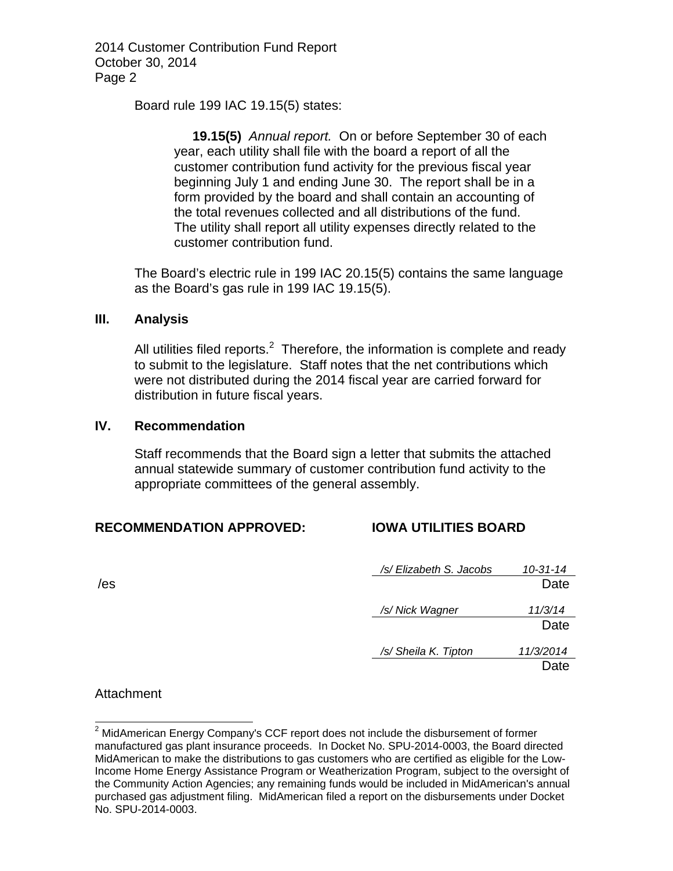2014 Customer Contribution Fund Report October 30, 2014 Page 2

Board rule 199 IAC 19.15(5) states:

 **19.15(5)** *Annual report.* On or before September 30 of each year, each utility shall file with the board a report of all the customer contribution fund activity for the previous fiscal year beginning July 1 and ending June 30. The report shall be in a form provided by the board and shall contain an accounting of the total revenues collected and all distributions of the fund. The utility shall report all utility expenses directly related to the customer contribution fund.

The Board's electric rule in 199 IAC 20.15(5) contains the same language as the Board's gas rule in 199 IAC 19.15(5).

#### **III. Analysis**

All utilities filed reports. $2$  Therefore, the information is complete and ready to submit to the legislature. Staff notes that the net contributions which were not distributed during the 2014 fiscal year are carried forward for distribution in future fiscal years.

## **IV. Recommendation**

Staff recommends that the Board sign a letter that submits the attached annual statewide summary of customer contribution fund activity to the appropriate committees of the general assembly.

## **RECOMMENDATION APPROVED: IOWA UTILITIES BOARD**

|     | /s/ Elizabeth S. Jacobs | $10 - 31 - 14$ |
|-----|-------------------------|----------------|
| /es |                         | Date           |
|     |                         |                |
|     | /s/ Nick Wagner         | 11/3/14        |
|     |                         | Date           |
|     | /s/ Sheila K. Tipton    | 11/3/2014      |
|     |                         | Date           |

#### **Attachment**

 2 MidAmerican Energy Company's CCF report does not include the disbursement of former manufactured gas plant insurance proceeds. In Docket No. SPU-2014-0003, the Board directed MidAmerican to make the distributions to gas customers who are certified as eligible for the Low-Income Home Energy Assistance Program or Weatherization Program, subject to the oversight of the Community Action Agencies; any remaining funds would be included in MidAmerican's annual purchased gas adjustment filing. MidAmerican filed a report on the disbursements under Docket No. SPU-2014-0003.